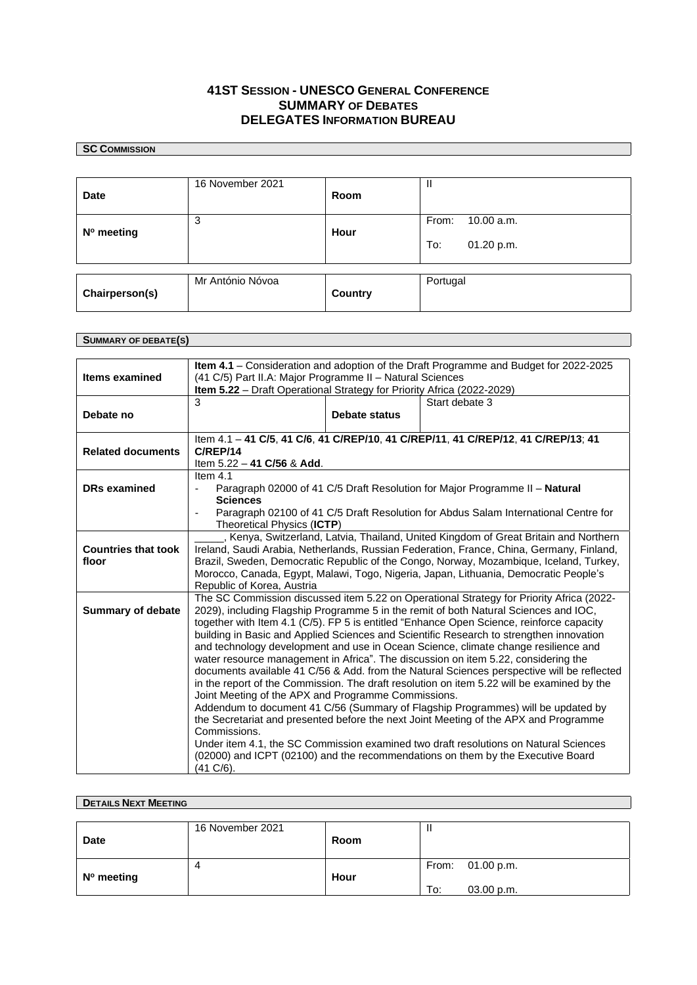## **41ST SESSION - UNESCO GENERAL CONFERENCE SUMMARY** OF **DEBATES DELEGATES INFORMATION BUREAU**

## **SC COMMISSION**

| <b>Date</b>    | 16 November 2021 | Room    | Ш                                        |
|----------------|------------------|---------|------------------------------------------|
| N° meeting     | 3                | Hour    | From:<br>10.00 a.m.<br>To:<br>01.20 p.m. |
| Chairperson(s) | Mr António Nóvoa | Country | Portugal                                 |

## **SUMMARY OF DEBATE(S)**

| Items examined             | Item 4.1 - Consideration and adoption of the Draft Programme and Budget for 2022-2025<br>(41 C/5) Part II.A: Major Programme II - Natural Sciences                                       |               |                                                                                          |  |  |
|----------------------------|------------------------------------------------------------------------------------------------------------------------------------------------------------------------------------------|---------------|------------------------------------------------------------------------------------------|--|--|
|                            | Item 5.22 - Draft Operational Strategy for Priority Africa (2022-2029)                                                                                                                   |               |                                                                                          |  |  |
|                            | 3                                                                                                                                                                                        |               | Start debate 3                                                                           |  |  |
| Debate no                  |                                                                                                                                                                                          | Debate status |                                                                                          |  |  |
|                            | Item 4.1 - 41 C/5, 41 C/6, 41 C/REP/10, 41 C/REP/11, 41 C/REP/12, 41 C/REP/13; 41                                                                                                        |               |                                                                                          |  |  |
| <b>Related documents</b>   | C/REP/14                                                                                                                                                                                 |               |                                                                                          |  |  |
|                            | Item 5.22 - 41 C/56 & Add.                                                                                                                                                               |               |                                                                                          |  |  |
| <b>DRs examined</b>        | Item $4.1$                                                                                                                                                                               |               |                                                                                          |  |  |
|                            | Paragraph 02000 of 41 C/5 Draft Resolution for Major Programme II - Natural<br><b>Sciences</b>                                                                                           |               |                                                                                          |  |  |
|                            | Paragraph 02100 of 41 C/5 Draft Resolution for Abdus Salam International Centre for                                                                                                      |               |                                                                                          |  |  |
|                            | Theoretical Physics (ICTP)                                                                                                                                                               |               |                                                                                          |  |  |
|                            | Kenya, Switzerland, Latvia, Thailand, United Kingdom of Great Britain and Northern                                                                                                       |               |                                                                                          |  |  |
| <b>Countries that took</b> |                                                                                                                                                                                          |               | Ireland, Saudi Arabia, Netherlands, Russian Federation, France, China, Germany, Finland, |  |  |
| floor                      | Brazil, Sweden, Democratic Republic of the Congo, Norway, Mozambique, Iceland, Turkey,                                                                                                   |               |                                                                                          |  |  |
|                            | Morocco, Canada, Egypt, Malawi, Togo, Nigeria, Japan, Lithuania, Democratic People's<br>Republic of Korea, Austria                                                                       |               |                                                                                          |  |  |
|                            | The SC Commission discussed item 5.22 on Operational Strategy for Priority Africa (2022-                                                                                                 |               |                                                                                          |  |  |
| <b>Summary of debate</b>   | 2029), including Flagship Programme 5 in the remit of both Natural Sciences and IOC,                                                                                                     |               |                                                                                          |  |  |
|                            |                                                                                                                                                                                          |               | together with Item 4.1 (C/5). FP 5 is entitled "Enhance Open Science, reinforce capacity |  |  |
|                            | building in Basic and Applied Sciences and Scientific Research to strengthen innovation                                                                                                  |               |                                                                                          |  |  |
|                            | and technology development and use in Ocean Science, climate change resilience and                                                                                                       |               |                                                                                          |  |  |
|                            | water resource management in Africa". The discussion on item 5.22, considering the                                                                                                       |               |                                                                                          |  |  |
|                            | documents available 41 C/56 & Add. from the Natural Sciences perspective will be reflected<br>in the report of the Commission. The draft resolution on item 5.22 will be examined by the |               |                                                                                          |  |  |
|                            | Joint Meeting of the APX and Programme Commissions.                                                                                                                                      |               |                                                                                          |  |  |
|                            | Addendum to document 41 C/56 (Summary of Flagship Programmes) will be updated by                                                                                                         |               |                                                                                          |  |  |
|                            | the Secretariat and presented before the next Joint Meeting of the APX and Programme                                                                                                     |               |                                                                                          |  |  |
|                            | Commissions.                                                                                                                                                                             |               |                                                                                          |  |  |
|                            | Under item 4.1, the SC Commission examined two draft resolutions on Natural Sciences                                                                                                     |               |                                                                                          |  |  |
|                            | (02000) and ICPT (02100) and the recommendations on them by the Executive Board<br>$(41 C/6)$ .                                                                                          |               |                                                                                          |  |  |
|                            |                                                                                                                                                                                          |               |                                                                                          |  |  |

| <b>DETAILS NEXT MEETING</b> |                  |      |                   |  |  |
|-----------------------------|------------------|------|-------------------|--|--|
|                             |                  |      |                   |  |  |
|                             | 16 November 2021 |      |                   |  |  |
| <b>Date</b>                 |                  | Room |                   |  |  |
|                             |                  |      |                   |  |  |
|                             | 4                |      | From: 01.00 p.m.  |  |  |
| N° meeting                  |                  | Hour |                   |  |  |
|                             |                  |      | To:<br>03.00 p.m. |  |  |